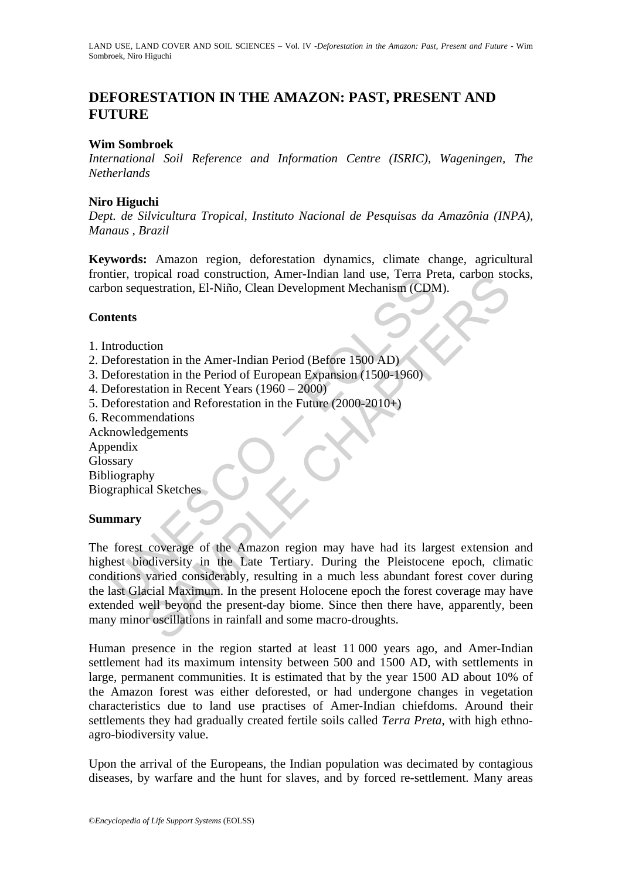# **DEFORESTATION IN THE AMAZON: PAST, PRESENT AND FUTURE**

### **Wim Sombroek**

*International Soil Reference and Information Centre (ISRIC), Wageningen, The Netherlands* 

## **Niro Higuchi**

*Dept. de Silvicultura Tropical, Instituto Nacional de Pesquisas da Amazônia (INPA), Manaus , Brazil* 

**Keywords:** Amazon region, deforestation dynamics, climate change, agricultural frontier, tropical road construction, Amer-Indian land use, Terra Preta, carbon stocks, carbon sequestration, El-Niño, Clean Development Mechanism (CDM).

## **Contents**

- 1. Introduction
- 2. Deforestation in the Amer-Indian Period (Before 1500 AD)
- 3. Deforestation in the Period of European Expansion (1500-1960)
- 4. Deforestation in Recent Years (1960 2000)
- 5. Deforestation and Reforestation in the Future (2000-2010+)
- 6. Recommendations
- Acknowledgements
- Appendix
- Glossary
- Bibliography

Biographical Sketches

### **Summary**

meridion. El-Niño, Clean Development Mechanism (CDM<br>
Ments<br>
tents<br>
tents<br>
tents<br>
tents<br>
tents<br>
tents<br>
tents<br>
tents<br>
tents<br>
tents<br>
tents<br>
tents<br>
tents<br>
tents<br>
tents<br>
tents<br>
tents<br>
tents<br>
tents<br>
tents<br>
tents<br>
tents<br>
tents<br>
t ppecar road construction, Amer-Indian land use, 1erra Preta, carbon sto<br>
uestration, El-Niño, Clean Development Mechanism (CDM).<br>
tion<br>
ion<br>
ation in the Amer-Indian Period (Before 1500 AD)<br>
ation in Recent Years (1960 – 2 The forest coverage of the Amazon region may have had its largest extension and highest biodiversity in the Late Tertiary. During the Pleistocene epoch, climatic conditions varied considerably, resulting in a much less abundant forest cover during the last Glacial Maximum. In the present Holocene epoch the forest coverage may have extended well beyond the present-day biome. Since then there have, apparently, been many minor oscillations in rainfall and some macro-droughts.

Human presence in the region started at least 11 000 years ago, and Amer-Indian settlement had its maximum intensity between 500 and 1500 AD, with settlements in large, permanent communities. It is estimated that by the year 1500 AD about 10% of the Amazon forest was either deforested, or had undergone changes in vegetation characteristics due to land use practises of Amer-Indian chiefdoms. Around their settlements they had gradually created fertile soils called *Terra Preta*, with high ethnoagro-biodiversity value.

Upon the arrival of the Europeans, the Indian population was decimated by contagious diseases, by warfare and the hunt for slaves, and by forced re-settlement. Many areas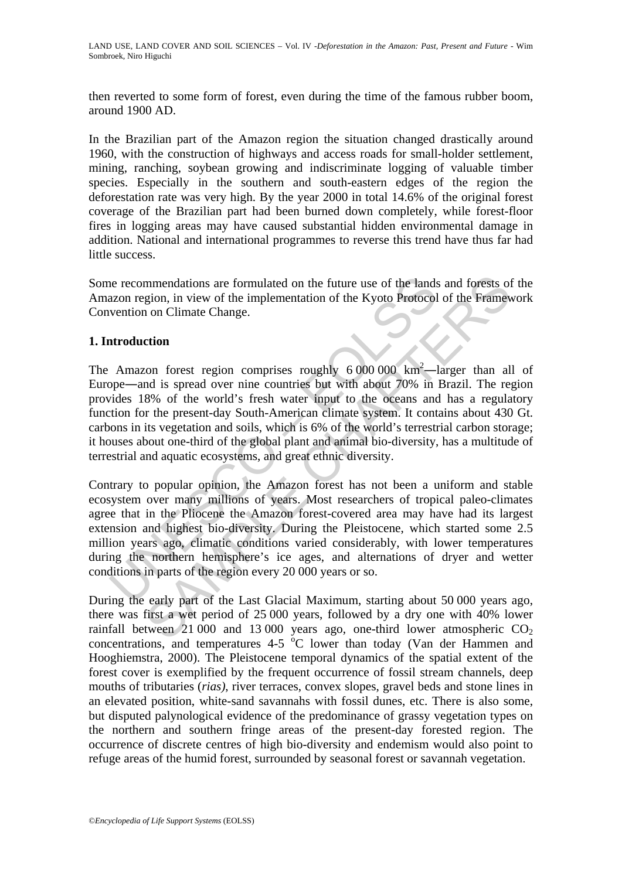then reverted to some form of forest, even during the time of the famous rubber boom, around 1900 AD.

In the Brazilian part of the Amazon region the situation changed drastically around 1960, with the construction of highways and access roads for small-holder settlement, mining, ranching, soybean growing and indiscriminate logging of valuable timber species. Especially in the southern and south-eastern edges of the region the deforestation rate was very high. By the year 2000 in total 14.6% of the original forest coverage of the Brazilian part had been burned down completely, while forest-floor fires in logging areas may have caused substantial hidden environmental damage in addition. National and international programmes to reverse this trend have thus far had little success.

Some recommendations are formulated on the future use of the lands and forests of the Amazon region, in view of the implementation of the Kyoto Protocol of the Framework Convention on Climate Change.

# **1. Introduction**

incommendations are formulated on the future use of the lands<br>azon region, in view of the implementation of the Kyoto Protocol<br>vention on Climate Change.<br>**Amazon** forest region comprises roughly 6 000 000 km<sup>2</sup>—<br>pope—and i mmendations are formulated on the future use of the lands and forests of<br>gion, in view of the implementation of the Kyoto Protocol of the Frame<br>of the Change.<br>**Com** on Climate Change.<br>**Com**<br>con forest region comprises rou The Amazon forest region comprises roughly  $6000000 \text{ km}^2$ —larger than all of Europe―and is spread over nine countries but with about 70% in Brazil. The region provides 18% of the world's fresh water input to the oceans and has a regulatory function for the present-day South-American climate system. It contains about 430 Gt. carbons in its vegetation and soils, which is 6% of the world's terrestrial carbon storage; it houses about one-third of the global plant and animal bio-diversity, has a multitude of terrestrial and aquatic ecosystems, and great ethnic diversity.

Contrary to popular opinion, the Amazon forest has not been a uniform and stable ecosystem over many millions of years. Most researchers of tropical paleo-climates agree that in the Pliocene the Amazon forest-covered area may have had its largest extension and highest bio-diversity. During the Pleistocene, which started some 2.5 million years ago, climatic conditions varied considerably, with lower temperatures during the northern hemisphere's ice ages, and alternations of dryer and wetter conditions in parts of the region every 20 000 years or so.

During the early part of the Last Glacial Maximum, starting about 50 000 years ago, there was first a wet period of 25 000 years, followed by a dry one with 40% lower rainfall between 21 000 and 13 000 years ago, one-third lower atmospheric  $CO<sub>2</sub>$ concentrations, and temperatures  $4-5$  °C lower than today (Van der Hammen and Hooghiemstra, 2000). The Pleistocene temporal dynamics of the spatial extent of the forest cover is exemplified by the frequent occurrence of fossil stream channels, deep mouths of tributaries (*rias)*, river terraces, convex slopes, gravel beds and stone lines in an elevated position, white-sand savannahs with fossil dunes, etc. There is also some, but disputed palynological evidence of the predominance of grassy vegetation types on the northern and southern fringe areas of the present-day forested region. The occurrence of discrete centres of high bio-diversity and endemism would also point to refuge areas of the humid forest, surrounded by seasonal forest or savannah vegetation.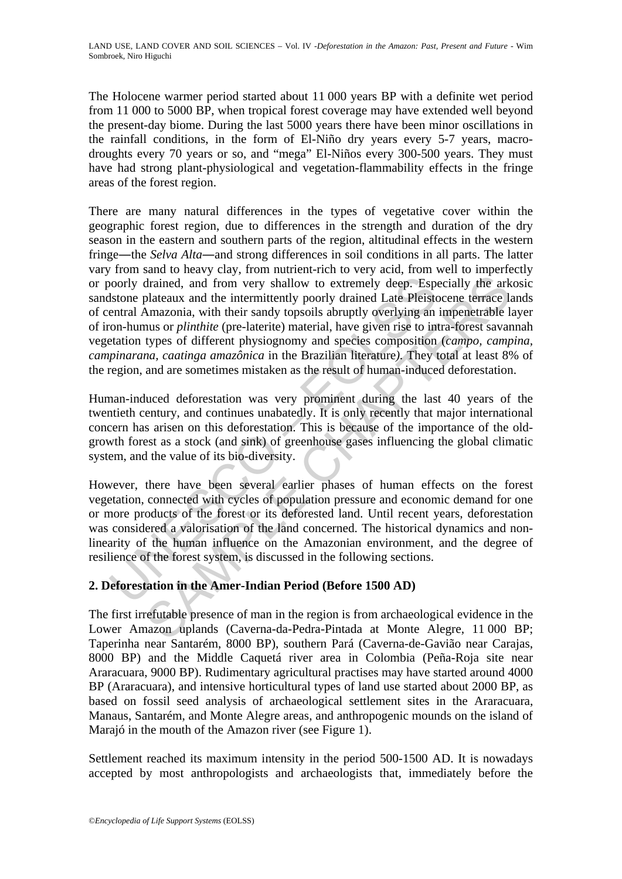The Holocene warmer period started about 11 000 years BP with a definite wet period from 11 000 to 5000 BP, when tropical forest coverage may have extended well beyond the present-day biome. During the last 5000 years there have been minor oscillations in the rainfall conditions, in the form of El-Niño dry years every 5-7 years, macrodroughts every 70 years or so, and "mega" El-Niños every 300-500 years. They must have had strong plant-physiological and vegetation-flammability effects in the fringe areas of the forest region.

bordly drained, and from very shallow to extremely deep. Esp<br>shoone plateaux and the intermittently poorly drained Late Pleist<br>entral Amazonia, with their sandy topsoils abruptly overlying an<br>on-humus or *plinthite* (pre-l drained, and from very shallow to extremely deep. Especially the ark<br>drained, and from very shallow to extremely deep. Especially the ark<br>plateaux and the intermittently poorly drained Late Pleistocene terrace la<br>hranzoni There are many natural differences in the types of vegetative cover within the geographic forest region, due to differences in the strength and duration of the dry season in the eastern and southern parts of the region, altitudinal effects in the western fringe―the *Selva Alta*―and strong differences in soil conditions in all parts. The latter vary from sand to heavy clay, from nutrient-rich to very acid, from well to imperfectly or poorly drained, and from very shallow to extremely deep. Especially the arkosic sandstone plateaux and the intermittently poorly drained Late Pleistocene terrace lands of central Amazonia, with their sandy topsoils abruptly overlying an impenetrable layer of iron-humus or *plinthite* (pre-laterite) material, have given rise to intra-forest savannah vegetation types of different physiognomy and species composition (*campo, campina, campinarana, caatinga amazônica* in the Brazilian literature*).* They total at least 8% of the region, and are sometimes mistaken as the result of human-induced deforestation.

Human-induced deforestation was very prominent during the last 40 years of the twentieth century, and continues unabatedly. It is only recently that major international concern has arisen on this deforestation. This is because of the importance of the oldgrowth forest as a stock (and sink) of greenhouse gases influencing the global climatic system, and the value of its bio-diversity.

However, there have been several earlier phases of human effects on the forest vegetation, connected with cycles of population pressure and economic demand for one or more products of the forest or its deforested land. Until recent years, deforestation was considered a valorisation of the land concerned. The historical dynamics and nonlinearity of the human influence on the Amazonian environment, and the degree of resilience of the forest system, is discussed in the following sections.

# **2. Deforestation in the Amer-Indian Period (Before 1500 AD)**

The first irrefutable presence of man in the region is from archaeological evidence in the Lower Amazon uplands (Caverna-da-Pedra-Pintada at Monte Alegre, 11 000 BP; Taperinha near Santarém, 8000 BP), southern Pará (Caverna-de-Gavião near Carajas, 8000 BP) and the Middle Caquetá river area in Colombia (Peña-Roja site near Araracuara, 9000 BP). Rudimentary agricultural practises may have started around 4000 BP (Araracuara), and intensive horticultural types of land use started about 2000 BP, as based on fossil seed analysis of archaeological settlement sites in the Araracuara, Manaus, Santarém, and Monte Alegre areas, and anthropogenic mounds on the island of Marajó in the mouth of the Amazon river (see Figure 1).

Settlement reached its maximum intensity in the period 500-1500 AD. It is nowadays accepted by most anthropologists and archaeologists that, immediately before the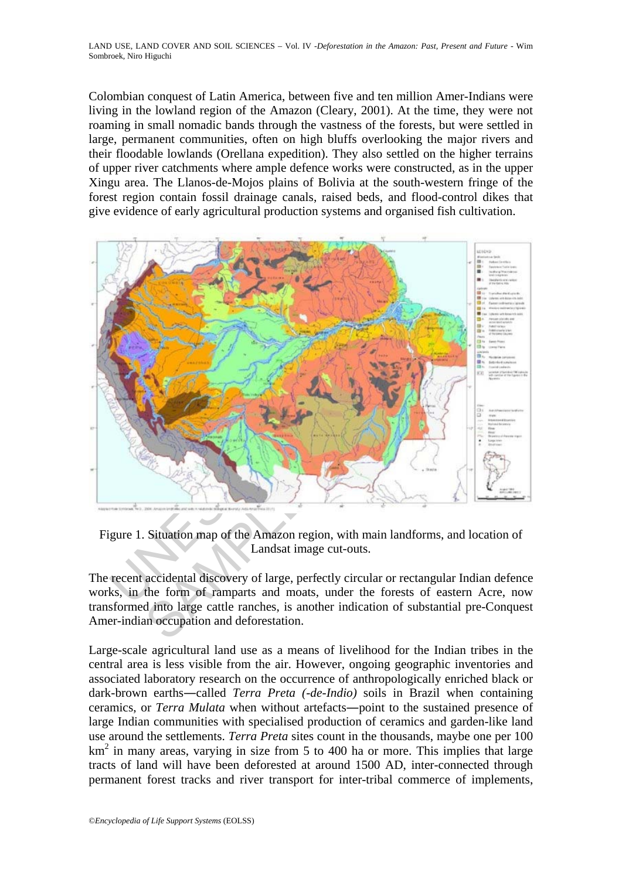Colombian conquest of Latin America, between five and ten million Amer-Indians were living in the lowland region of the Amazon (Cleary, 2001). At the time, they were not roaming in small nomadic bands through the vastness of the forests, but were settled in large, permanent communities, often on high bluffs overlooking the major rivers and their floodable lowlands (Orellana expedition). They also settled on the higher terrains of upper river catchments where ample defence works were constructed, as in the upper Xingu area. The Llanos-de-Mojos plains of Bolivia at the south-western fringe of the forest region contain fossil drainage canals, raised beds, and flood-control dikes that give evidence of early agricultural production systems and organised fish cultivation.



Figure 1. Situation map of the Amazon region, with main landforms, and location of Landsat image cut-outs.

The recent accidental discovery of large, perfectly circular or rectangular Indian defence works, in the form of ramparts and moats, under the forests of eastern Acre, now transformed into large cattle ranches, is another indication of substantial pre-Conquest Amer-indian occupation and deforestation.

Large-scale agricultural land use as a means of livelihood for the Indian tribes in the central area is less visible from the air. However, ongoing geographic inventories and associated laboratory research on the occurrence of anthropologically enriched black or dark-brown earths―called *Terra Preta (-de-Indio)* soils in Brazil when containing ceramics, or *Terra Mulata* when without artefacts―point to the sustained presence of large Indian communities with specialised production of ceramics and garden-like land use around the settlements. *Terra Preta* sites count in the thousands, maybe one per 100  $km<sup>2</sup>$  in many areas, varying in size from 5 to 400 ha or more. This implies that large tracts of land will have been deforested at around 1500 AD, inter-connected through permanent forest tracks and river transport for inter-tribal commerce of implements,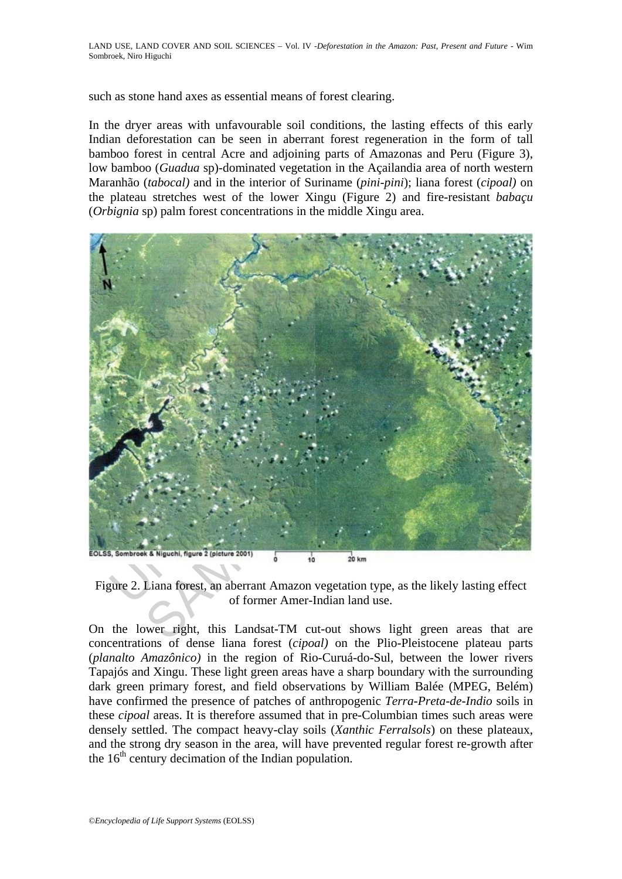such as stone hand axes as essential means of forest clearing.

In the dryer areas with unfavourable soil conditions, the lasting effects of this early Indian deforestation can be seen in aberrant forest regeneration in the form of tall bamboo forest in central Acre and adjoining parts of Amazonas and Peru (Figure 3), low bamboo (*Guadua* sp)-dominated vegetation in the Açailandia area of north western Maranhão (*tabocal)* and in the interior of Suriname (*pini-pini*); liana forest (*cipoal)* on the plateau stretches west of the lower Xingu (Figure 2) and fire-resistant *babaçu*  (*Orbignia* sp) palm forest concentrations in the middle Xingu area.



Figure 2. Liana forest, an aberrant Amazon vegetation type, as the likely lasting effect of former Amer-Indian land use.

On the lower right, this Landsat-TM cut-out shows light green areas that are concentrations of dense liana forest (*cipoal)* on the Plio-Pleistocene plateau parts (*planalto Amazônico)* in the region of Rio-Curuá-do-Sul, between the lower rivers Tapajós and Xingu. These light green areas have a sharp boundary with the surrounding dark green primary forest, and field observations by William Balée (MPEG, Belém) have confirmed the presence of patches of anthropogenic *Terra-Preta-de-Indio* soils in these *cipoal* areas. It is therefore assumed that in pre-Columbian times such areas were densely settled. The compact heavy-clay soils (*Xanthic Ferralsols*) on these plateaux, and the strong dry season in the area, will have prevented regular forest re-growth after the  $16<sup>th</sup>$  century decimation of the Indian population.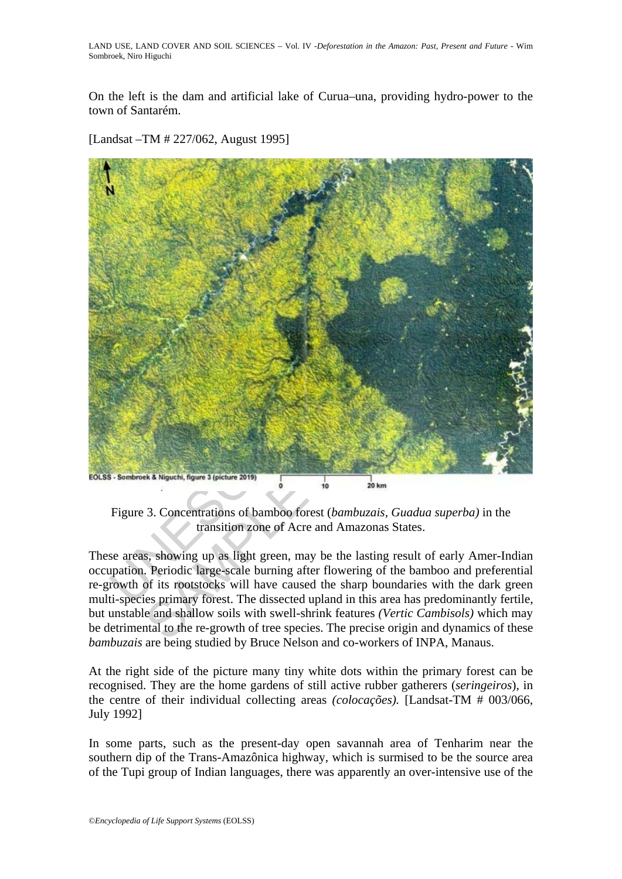On the left is the dam and artificial lake of Curua–una, providing hydro-power to the town of Santarém.

[Landsat –TM # 227/062, August 1995]



Figure 3. Concentrations of bamboo forest (*bambuzais, Guadua superba)* in the transition zone of Acre and Amazonas States.

These areas, showing up as light green, may be the lasting result of early Amer-Indian occupation. Periodic large-scale burning after flowering of the bamboo and preferential re-growth of its rootstocks will have caused the sharp boundaries with the dark green multi-species primary forest. The dissected upland in this area has predominantly fertile, but unstable and shallow soils with swell-shrink features *(Vertic Cambisols)* which may be detrimental to the re-growth of tree species. The precise origin and dynamics of these *bambuzais* are being studied by Bruce Nelson and co-workers of INPA, Manaus.

At the right side of the picture many tiny white dots within the primary forest can be recognised. They are the home gardens of still active rubber gatherers (*seringeiros*), in the centre of their individual collecting areas *(colocações).* [Landsat-TM # 003/066, July 1992]

In some parts, such as the present-day open savannah area of Tenharim near the southern dip of the Trans-Amazônica highway, which is surmised to be the source area of the Tupi group of Indian languages, there was apparently an over-intensive use of the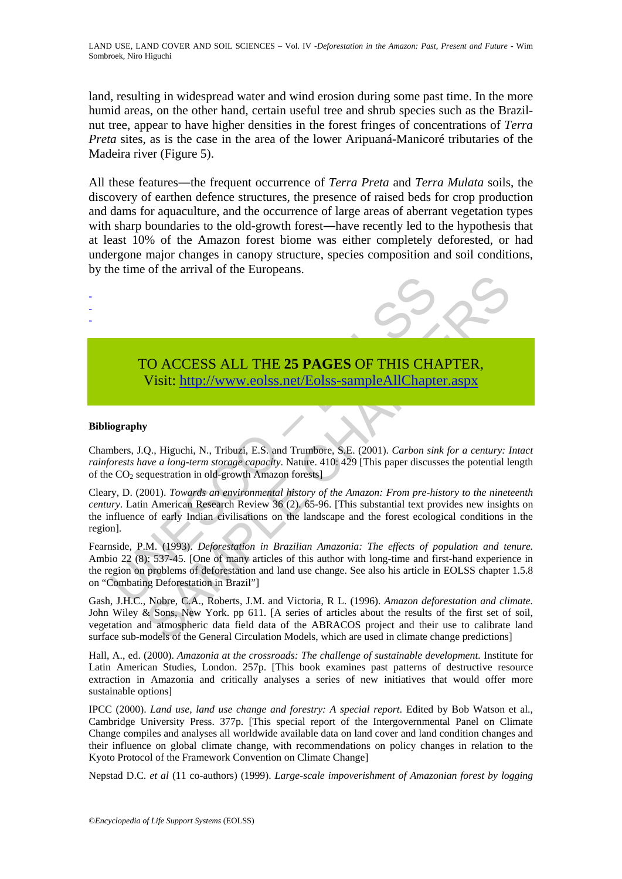LAND USE, LAND COVER AND SOIL SCIENCES – Vol. IV -*Deforestation in the Amazon: Past, Present and Future* - Wim Sombroek, Niro Higuchi

land, resulting in widespread water and wind erosion during some past time. In the more humid areas, on the other hand, certain useful tree and shrub species such as the Brazilnut tree, appear to have higher densities in the forest fringes of concentrations of *Terra Preta* sites, as is the case in the area of the lower Aripuaná-Manicoré tributaries of the Madeira river (Figure 5).

All these features―the frequent occurrence of *Terra Preta* and *Terra Mulata* soils, the discovery of earthen defence structures, the presence of raised beds for crop production and dams for aquaculture, and the occurrence of large areas of aberrant vegetation types with sharp boundaries to the old-growth forest—have recently led to the hypothesis that at least 10% of the Amazon forest biome was either completely deforested, or had undergone major changes in canopy structure, species composition and soil conditions, by the time of the arrival of the Europeans.



# TO ACCESS ALL THE **25 PAGES** OF THIS CHAPTER, Visit: http://www.eolss.net/Eolss-sampleAllChapter.aspx

#### **Bibliography**

- - -

Chambers, J.Q., Higuchi, N., Tribuzi, E.S. and Trumbore, S.E. (2001). *Carbon sink for a century: Intact rainforests have a long-term storage capacity*. Nature. 410: 429 [This paper discusses the potential length of the  $CO<sub>2</sub>$  sequestration in old-growth Amazon forests]

Cleary, D. (2001). *Towards an environmental history of the Amazon: From pre-history to the nineteenth century*. Latin American Research Review 36 (2). 65-96. [This substantial text provides new insights on the influence of early Indian civilisations on the landscape and the forest ecological conditions in the region].

TO ACCESS ALL THE 25 PAGES OF THIS CHA<br>
Visit: http://www.colss.net/Eolss-sampleAllChapte<br>
iography<br>
iography<br>
iography<br>
inders, J.Q., Higuchi, N., Tribuzi, E.S. and Trumbore, S.E. (2001). *Carbon sin*<br> *iorests have a lon* CO ACCESS ALL THE 25 PAGES OF THIS CH[APTE](https://www.eolss.net/ebooklib/sc_cart.aspx?File=E1-05-05-01)R,<br>
Visit: http://www.colss.net/Eolss-sampleAllChapter.aspx<br>
P. Wisit: http://www.colss.net/Eolss-sampleAllChapter.aspx<br>
P. Q., Higuchi, N., Tribuzi, E.S. and Trumbore, S.E. (2001) Fearnside, P.M. (1993). *Deforestation in Brazilian Amazonia: The effects of population and tenure.*  Ambio 22 (8): 537-45. [One of many articles of this author with long-time and first-hand experience in the region on problems of deforestation and land use change. See also his article in EOLSS chapter 1.5.8 on "Combating Deforestation in Brazil"]

Gash, J.H.C., Nobre, C.A., Roberts, J.M. and Victoria, R L. (1996). *Amazon deforestation and climate.* John Wiley & Sons, New York. pp 611. [A series of articles about the results of the first set of soil, vegetation and atmospheric data field data of the ABRACOS project and their use to calibrate land surface sub-models of the General Circulation Models, which are used in climate change predictions]

Hall, A., ed. (2000). *Amazonia at the crossroads: The challenge of sustainable development.* Institute for Latin American Studies, London. 257p. [This book examines past patterns of destructive resource extraction in Amazonia and critically analyses a series of new initiatives that would offer more sustainable options]

IPCC (2000). *Land use, land use change and forestry: A special report*. Edited by Bob Watson et al., Cambridge University Press. 377p. [This special report of the Intergovernmental Panel on Climate Change compiles and analyses all worldwide available data on land cover and land condition changes and their influence on global climate change, with recommendations on policy changes in relation to the Kyoto Protocol of the Framework Convention on Climate Change]

Nepstad D.C. *et al* (11 co-authors) (1999). *Large-scale impoverishment of Amazonian forest by logging*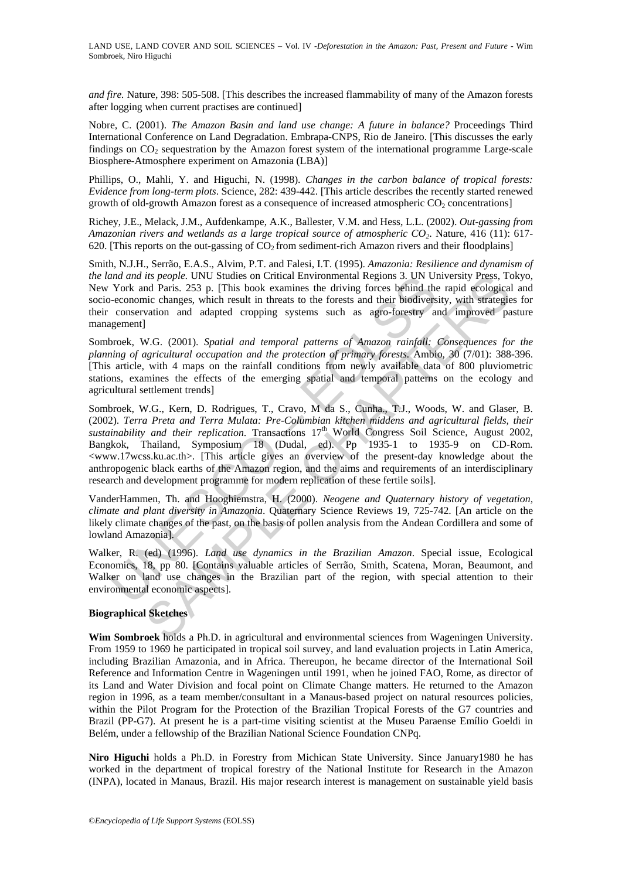*and fire.* Nature, 398: 505-508. [This describes the increased flammability of many of the Amazon forests after logging when current practises are continued]

Nobre, C. (2001). *The Amazon Basin and land use change: A future in balance?* Proceedings Third International Conference on Land Degradation. Embrapa-CNPS, Rio de Janeiro. [This discusses the early findings on  $CO<sub>2</sub>$  sequestration by the Amazon forest system of the international programme Large-scale Biosphere-Atmosphere experiment on Amazonia (LBA)]

Phillips, O., Mahli, Y. and Higuchi, N. (1998). *Changes in the carbon balance of tropical forests: Evidence from long-term plots*. Science, 282: 439-442. [This article describes the recently started renewed growth of old-growth Amazon forest as a consequence of increased atmospheric CO<sub>2</sub> concentrations]

Richey, J.E., Melack, J.M., Aufdenkampe, A.K., Ballester, V.M. and Hess, L.L. (2002). *Out-gassing from Amazonian rivers and wetlands as a large tropical source of atmospheric CO2*. Nature, 416 (11): 617- 620. [This reports on the out-gassing of  $CO<sub>2</sub>$  from sediment-rich Amazon rivers and their floodplains]

Smith, N.J.H., Serrão, E.A.S., Alvim, P.T. and Falesi, I.T. (1995). *Amazonia: Resilience and dynamism of the land and its people.* UNU Studies on Critical Environmental Regions 3. UN University Press, Tokyo, New York and Paris. 253 p. [This book examines the driving forces behind the rapid ecological and socio-economic changes, which result in threats to the forests and their biodiversity, with strategies for their conservation and adapted cropping systems such as agro-forestry and improved pasture management]

Sombroek, W.G. (2001). *Spatial and temporal patterns of Amazon rainfall: Consequences for the planning of agricultural occupation and the protection of primary forests.* Ambio, 30 (7/01): 388-396. [This article, with 4 maps on the rainfall conditions from newly available data of 800 pluviometric stations, examines the effects of the emerging spatial and temporal patterns on the ecology and agricultural settlement trends]

and an its people. UNU Studies on Critical Environmental Regions 3. UN Unit<br>
York and Paris. 253 p. [This book examines the driving forces behind the<br>
+economic changes, which result in threats to the forests and their bi its people. UNU Studies on Critical Environmental Regions 3. UN University Press, To<br>and Paris. 253 p. IThis book examines the driving forces behind the rapid ecological<br>nic changes, which result in threats to the forests Sombroek, W.G., Kern, D. Rodrigues, T., Cravo, M da S., Cunha., T.J., Woods, W. and Glaser, B. (2002). *Terra Preta and Terra Mulata: Pre-Columbian kitchen middens and agricultural fields, their*  sustainability and their replication. Transactions 17<sup>th</sup> World Congress Soil Science, August 2002, Bangkok, Thailand, Symposium 18 (Dudal, ed). Pp 1935-1 to 1935-9 on CD-Rom. <www.17wcss.ku.ac.th>. [This article gives an overview of the present-day knowledge about the anthropogenic black earths of the Amazon region, and the aims and requirements of an interdisciplinary research and development programme for modern replication of these fertile soils].

VanderHammen, Th. and Hooghiemstra, H. (2000). *Neogene and Quaternary history of vegetation, climate and plant diversity in Amazonia*. Quaternary Science Reviews 19, 725-742. [An article on the likely climate changes of the past, on the basis of pollen analysis from the Andean Cordillera and some of lowland Amazonia].

Walker, R. (ed) (1996). *Land use dynamics in the Brazilian Amazon*. Special issue, Ecological Economics, 18, pp 80. [Contains valuable articles of Serrão, Smith, Scatena, Moran, Beaumont, and Walker on land use changes in the Brazilian part of the region, with special attention to their environmental economic aspects].

#### **Biographical Sketches**

**Wim Sombroek** holds a Ph.D. in agricultural and environmental sciences from Wageningen University. From 1959 to 1969 he participated in tropical soil survey, and land evaluation projects in Latin America, including Brazilian Amazonia, and in Africa. Thereupon, he became director of the International Soil Reference and Information Centre in Wageningen until 1991, when he joined FAO, Rome, as director of its Land and Water Division and focal point on Climate Change matters. He returned to the Amazon region in 1996, as a team member/consultant in a Manaus-based project on natural resources policies, within the Pilot Program for the Protection of the Brazilian Tropical Forests of the G7 countries and Brazil (PP-G7). At present he is a part-time visiting scientist at the Museu Paraense Emílio Goeldi in Belém, under a fellowship of the Brazilian National Science Foundation CNPq.

**Niro Higuchi** holds a Ph.D. in Forestry from Michican State University. Since January1980 he has worked in the department of tropical forestry of the National Institute for Research in the Amazon (INPA), located in Manaus, Brazil. His major research interest is management on sustainable yield basis